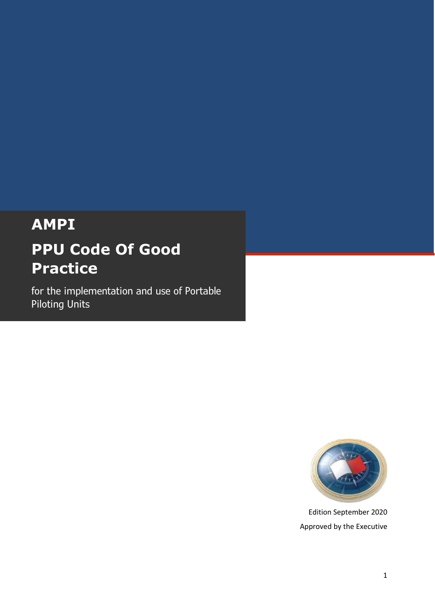# **AMPI PPU Code Of Good Practice**

for the implementation and use of Portable Piloting Units



Edition September 2020 Approved by the Executive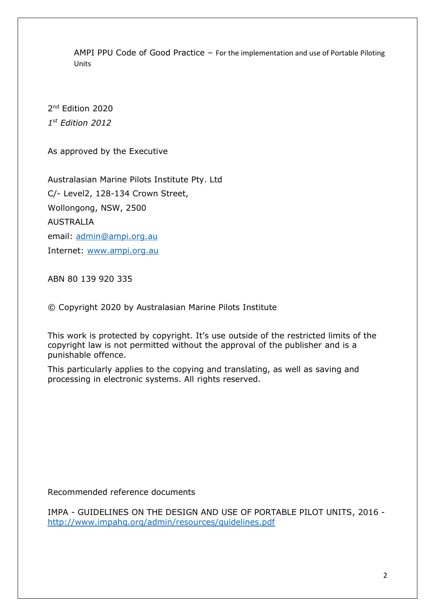AMPI PPU Code of Good Practice – For the implementation and use of Portable Piloting Units

2<sup>nd</sup> Edition 2020 *1 st Edition 2012*

As approved by the Executive

Australasian Marine Pilots Institute Pty. Ltd C/- Level2, 128-134 Crown Street, Wollongong, NSW, 2500 AUSTRALIA email: [admin@ampi.org.au](mailto:admin@ampi.org.au) Internet: [www.ampi.org.au](http://www.ampi.org.au/)

ABN 80 139 920 335

© Copyright 2020 by Australasian Marine Pilots Institute

This work is protected by copyright. It's use outside of the restricted limits of the copyright law is not permitted without the approval of the publisher and is a punishable offence.

This particularly applies to the copying and translating, as well as saving and processing in electronic systems. All rights reserved.

Recommended reference documents

IMPA - GUIDELINES ON THE DESIGN AND USE OF PORTABLE PILOT UNITS, 2016 <http://www.impahq.org/admin/resources/guidelines.pdf>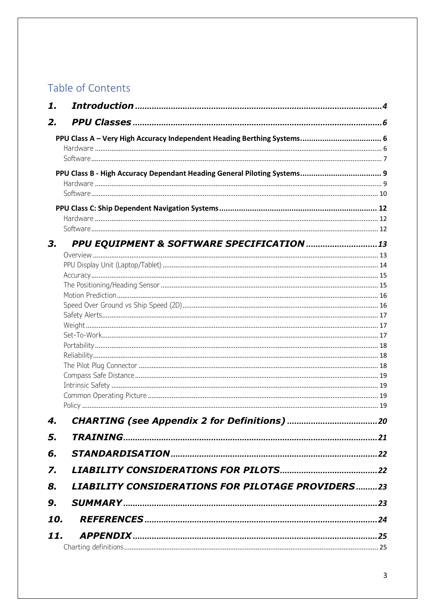## Table of Contents

| 1.  |                                                          |  |
|-----|----------------------------------------------------------|--|
| 2.  |                                                          |  |
|     |                                                          |  |
|     |                                                          |  |
|     |                                                          |  |
|     |                                                          |  |
|     |                                                          |  |
|     |                                                          |  |
|     |                                                          |  |
|     |                                                          |  |
|     |                                                          |  |
| З.  |                                                          |  |
|     |                                                          |  |
|     |                                                          |  |
|     |                                                          |  |
|     |                                                          |  |
|     |                                                          |  |
|     |                                                          |  |
|     |                                                          |  |
|     |                                                          |  |
|     |                                                          |  |
|     |                                                          |  |
|     |                                                          |  |
|     |                                                          |  |
|     |                                                          |  |
|     |                                                          |  |
| 4.  |                                                          |  |
| 5.  |                                                          |  |
| 6.  |                                                          |  |
| 7.  |                                                          |  |
| 8.  | <b>LIABILITY CONSIDERATIONS FOR PILOTAGE PROVIDERS23</b> |  |
| 9.  |                                                          |  |
| 10. |                                                          |  |
| 11. |                                                          |  |
|     |                                                          |  |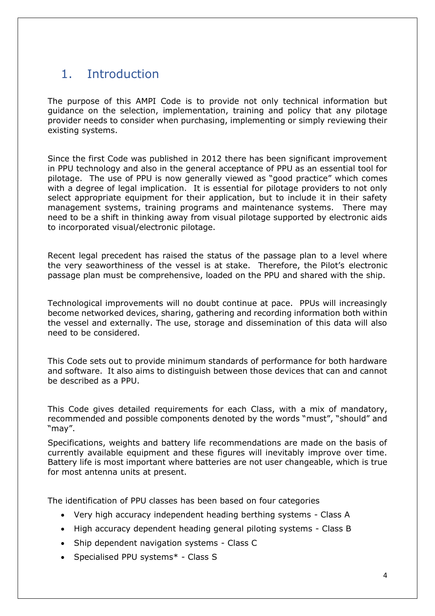## <span id="page-3-0"></span>1. Introduction

The purpose of this AMPI Code is to provide not only technical information but guidance on the selection, implementation, training and policy that any pilotage provider needs to consider when purchasing, implementing or simply reviewing their existing systems.

Since the first Code was published in 2012 there has been significant improvement in PPU technology and also in the general acceptance of PPU as an essential tool for pilotage. The use of PPU is now generally viewed as "good practice" which comes with a degree of legal implication. It is essential for pilotage providers to not only select appropriate equipment for their application, but to include it in their safety management systems, training programs and maintenance systems. There may need to be a shift in thinking away from visual pilotage supported by electronic aids to incorporated visual/electronic pilotage.

Recent legal precedent has raised the status of the passage plan to a level where the very seaworthiness of the vessel is at stake. Therefore, the Pilot's electronic passage plan must be comprehensive, loaded on the PPU and shared with the ship.

Technological improvements will no doubt continue at pace. PPUs will increasingly become networked devices, sharing, gathering and recording information both within the vessel and externally. The use, storage and dissemination of this data will also need to be considered.

This Code sets out to provide minimum standards of performance for both hardware and software. It also aims to distinguish between those devices that can and cannot be described as a PPU.

This Code gives detailed requirements for each Class, with a mix of mandatory, recommended and possible components denoted by the words "must", "should" and "may".

Specifications, weights and battery life recommendations are made on the basis of currently available equipment and these figures will inevitably improve over time. Battery life is most important where batteries are not user changeable, which is true for most antenna units at present.

The identification of PPU classes has been based on four categories

- Very high accuracy independent heading berthing systems Class A
- High accuracy dependent heading general piloting systems Class B
- Ship dependent navigation systems Class C
- Specialised PPU systems\* Class S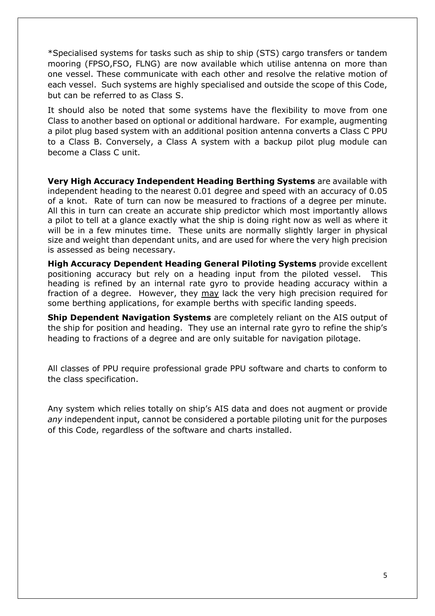\*Specialised systems for tasks such as ship to ship (STS) cargo transfers or tandem mooring (FPSO,FSO, FLNG) are now available which utilise antenna on more than one vessel. These communicate with each other and resolve the relative motion of each vessel. Such systems are highly specialised and outside the scope of this Code, but can be referred to as Class S.

It should also be noted that some systems have the flexibility to move from one Class to another based on optional or additional hardware. For example, augmenting a pilot plug based system with an additional position antenna converts a Class C PPU to a Class B. Conversely, a Class A system with a backup pilot plug module can become a Class C unit.

**Very High Accuracy Independent Heading Berthing Systems** are available with independent heading to the nearest 0.01 degree and speed with an accuracy of 0.05 of a knot. Rate of turn can now be measured to fractions of a degree per minute. All this in turn can create an accurate ship predictor which most importantly allows a pilot to tell at a glance exactly what the ship is doing right now as well as where it will be in a few minutes time. These units are normally slightly larger in physical size and weight than dependant units, and are used for where the very high precision is assessed as being necessary.

**High Accuracy Dependent Heading General Piloting Systems** provide excellent positioning accuracy but rely on a heading input from the piloted vessel. This heading is refined by an internal rate gyro to provide heading accuracy within a fraction of a degree. However, they may lack the very high precision required for some berthing applications, for example berths with specific landing speeds.

**Ship Dependent Navigation Systems** are completely reliant on the AIS output of the ship for position and heading. They use an internal rate gyro to refine the ship's heading to fractions of a degree and are only suitable for navigation pilotage.

All classes of PPU require professional grade PPU software and charts to conform to the class specification.

Any system which relies totally on ship's AIS data and does not augment or provide *any* independent input, cannot be considered a portable piloting unit for the purposes of this Code, regardless of the software and charts installed.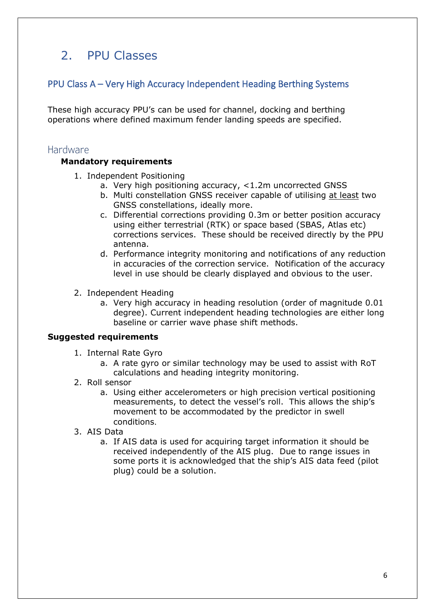## <span id="page-5-0"></span>2. PPU Classes

## <span id="page-5-1"></span>PPU Class A – Very High Accuracy Independent Heading Berthing Systems

These high accuracy PPU's can be used for channel, docking and berthing operations where defined maximum fender landing speeds are specified.

### <span id="page-5-2"></span>Hardware

#### **Mandatory requirements**

- 1. Independent Positioning
	- a. Very high positioning accuracy, <1.2m uncorrected GNSS
	- b. Multi constellation GNSS receiver capable of utilising at least two GNSS constellations, ideally more.
	- c. Differential corrections providing 0.3m or better position accuracy using either terrestrial (RTK) or space based (SBAS, Atlas etc) corrections services. These should be received directly by the PPU antenna.
	- d. Performance integrity monitoring and notifications of any reduction in accuracies of the correction service. Notification of the accuracy level in use should be clearly displayed and obvious to the user.
- 2. Independent Heading
	- a. Very high accuracy in heading resolution (order of magnitude 0.01 degree). Current independent heading technologies are either long baseline or carrier wave phase shift methods.

- 1. Internal Rate Gyro
	- a. A rate gyro or similar technology may be used to assist with RoT calculations and heading integrity monitoring.
- 2. Roll sensor
	- a. Using either accelerometers or high precision vertical positioning measurements, to detect the vessel's roll. This allows the ship's movement to be accommodated by the predictor in swell conditions.
- 3. AIS Data
	- a. If AIS data is used for acquiring target information it should be received independently of the AIS plug. Due to range issues in some ports it is acknowledged that the ship's AIS data feed (pilot plug) could be a solution.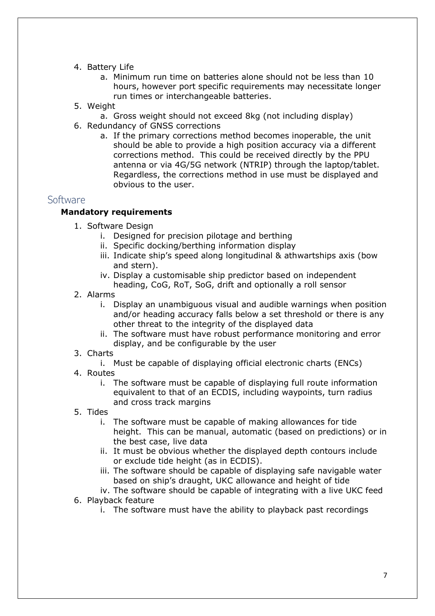#### 4. Battery Life

- a. Minimum run time on batteries alone should not be less than 10 hours, however port specific requirements may necessitate longer run times or interchangeable batteries.
- 5. Weight
- a. Gross weight should not exceed 8kg (not including display)
- 6. Redundancy of GNSS corrections
	- a. If the primary corrections method becomes inoperable, the unit should be able to provide a high position accuracy via a different corrections method. This could be received directly by the PPU antenna or via 4G/5G network (NTRIP) through the laptop/tablet. Regardless, the corrections method in use must be displayed and obvious to the user.

## <span id="page-6-0"></span>**Software**

### **Mandatory requirements**

- 1. Software Design
	- i. Designed for precision pilotage and berthing
	- ii. Specific docking/berthing information display
	- iii. Indicate ship's speed along longitudinal & athwartships axis (bow and stern).
	- iv. Display a customisable ship predictor based on independent heading, CoG, RoT, SoG, drift and optionally a roll sensor
- 2. Alarms
	- i. Display an unambiguous visual and audible warnings when position and/or heading accuracy falls below a set threshold or there is any other threat to the integrity of the displayed data
	- ii. The software must have robust performance monitoring and error display, and be configurable by the user
- 3. Charts
	- i. Must be capable of displaying official electronic charts (ENCs)
- 4. Routes
	- i. The software must be capable of displaying full route information equivalent to that of an ECDIS, including waypoints, turn radius and cross track margins
- 5. Tides
	- i. The software must be capable of making allowances for tide height. This can be manual, automatic (based on predictions) or in the best case, live data
	- ii. It must be obvious whether the displayed depth contours include or exclude tide height (as in ECDIS).
	- iii. The software should be capable of displaying safe navigable water based on ship's draught, UKC allowance and height of tide
	- iv. The software should be capable of integrating with a live UKC feed
- 6. Playback feature
	- i. The software must have the ability to playback past recordings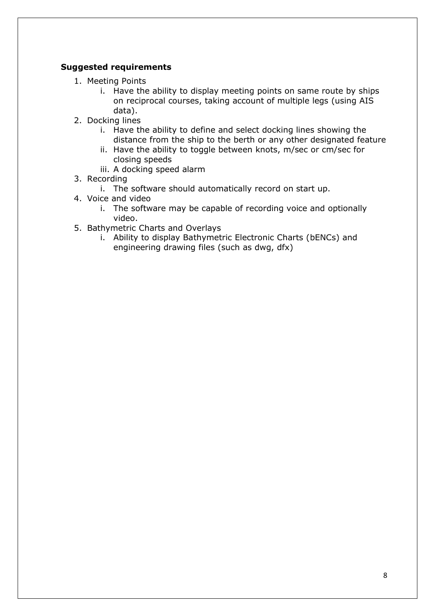- 1. Meeting Points
	- i. Have the ability to display meeting points on same route by ships on reciprocal courses, taking account of multiple legs (using AIS data).
- 2. Docking lines
	- i. Have the ability to define and select docking lines showing the distance from the ship to the berth or any other designated feature
	- ii. Have the ability to toggle between knots, m/sec or cm/sec for closing speeds
	- iii. A docking speed alarm
- 3. Recording
	- i. The software should automatically record on start up.
- 4. Voice and video
	- i. The software may be capable of recording voice and optionally video.
- 5. Bathymetric Charts and Overlays
	- i. Ability to display Bathymetric Electronic Charts (bENCs) and engineering drawing files (such as dwg, dfx)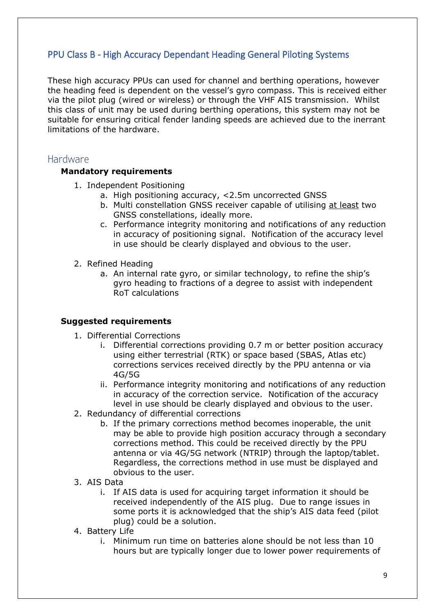## <span id="page-8-0"></span>PPU Class B - High Accuracy Dependant Heading General Piloting Systems

These high accuracy PPUs can used for channel and berthing operations, however the heading feed is dependent on the vessel's gyro compass. This is received either via the pilot plug (wired or wireless) or through the VHF AIS transmission. Whilst this class of unit may be used during berthing operations, this system may not be suitable for ensuring critical fender landing speeds are achieved due to the inerrant limitations of the hardware.

### <span id="page-8-1"></span>Hardware

#### **Mandatory requirements**

- 1. Independent Positioning
	- a. High positioning accuracy, <2.5m uncorrected GNSS
	- b. Multi constellation GNSS receiver capable of utilising at least two GNSS constellations, ideally more.
	- c. Performance integrity monitoring and notifications of any reduction in accuracy of positioning signal. Notification of the accuracy level in use should be clearly displayed and obvious to the user.
- 2. Refined Heading
	- a. An internal rate gyro, or similar technology, to refine the ship's gyro heading to fractions of a degree to assist with independent RoT calculations

- 1. Differential Corrections
	- i. Differential corrections providing 0.7 m or better position accuracy using either terrestrial (RTK) or space based (SBAS, Atlas etc) corrections services received directly by the PPU antenna or via 4G/5G
	- ii. Performance integrity monitoring and notifications of any reduction in accuracy of the correction service. Notification of the accuracy level in use should be clearly displayed and obvious to the user.
- 2. Redundancy of differential corrections
	- b. If the primary corrections method becomes inoperable, the unit may be able to provide high position accuracy through a secondary corrections method. This could be received directly by the PPU antenna or via 4G/5G network (NTRIP) through the laptop/tablet. Regardless, the corrections method in use must be displayed and obvious to the user.
- 3. AIS Data
	- i. If AIS data is used for acquiring target information it should be received independently of the AIS plug. Due to range issues in some ports it is acknowledged that the ship's AIS data feed (pilot plug) could be a solution.
- 4. Battery Life
	- i. Minimum run time on batteries alone should be not less than 10 hours but are typically longer due to lower power requirements of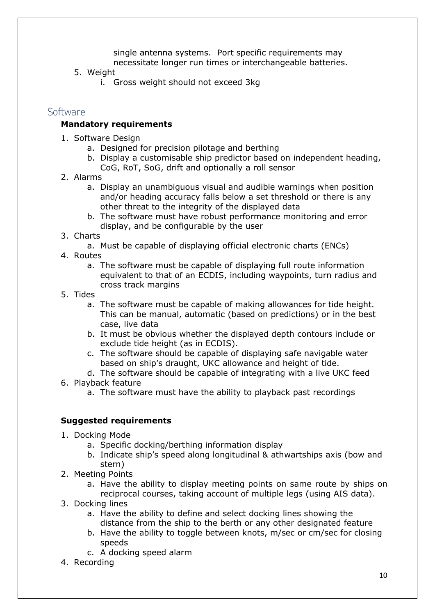single antenna systems. Port specific requirements may necessitate longer run times or interchangeable batteries.

- 5. Weight
	- i. Gross weight should not exceed 3kg

#### <span id="page-9-0"></span>Software

#### **Mandatory requirements**

- 1. Software Design
	- a. Designed for precision pilotage and berthing
	- b. Display a customisable ship predictor based on independent heading, CoG, RoT, SoG, drift and optionally a roll sensor
- 2. Alarms
	- a. Display an unambiguous visual and audible warnings when position and/or heading accuracy falls below a set threshold or there is any other threat to the integrity of the displayed data
	- b. The software must have robust performance monitoring and error display, and be configurable by the user
- 3. Charts
	- a. Must be capable of displaying official electronic charts (ENCs)
- 4. Routes
	- a. The software must be capable of displaying full route information equivalent to that of an ECDIS, including waypoints, turn radius and cross track margins
- 5. Tides
	- a. The software must be capable of making allowances for tide height. This can be manual, automatic (based on predictions) or in the best case, live data
	- b. It must be obvious whether the displayed depth contours include or exclude tide height (as in ECDIS).
	- c. The software should be capable of displaying safe navigable water based on ship's draught, UKC allowance and height of tide.
	- d. The software should be capable of integrating with a live UKC feed
- 6. Playback feature
	- a. The software must have the ability to playback past recordings

- 1. Docking Mode
	- a. Specific docking/berthing information display
	- b. Indicate ship's speed along longitudinal & athwartships axis (bow and stern)
- 2. Meeting Points
	- a. Have the ability to display meeting points on same route by ships on reciprocal courses, taking account of multiple legs (using AIS data).
- 3. Docking lines
	- a. Have the ability to define and select docking lines showing the distance from the ship to the berth or any other designated feature
	- b. Have the ability to toggle between knots, m/sec or cm/sec for closing speeds
	- c. A docking speed alarm
- 4. Recording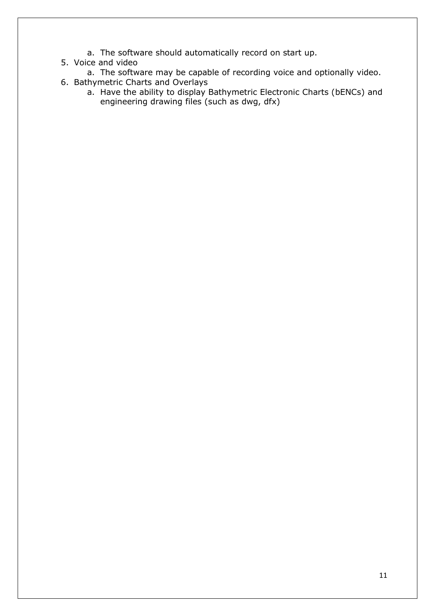- a. The software should automatically record on start up.
- 5. Voice and video
	- a. The software may be capable of recording voice and optionally video.
- 6. Bathymetric Charts and Overlays
	- a. Have the ability to display Bathymetric Electronic Charts (bENCs) and engineering drawing files (such as dwg, dfx)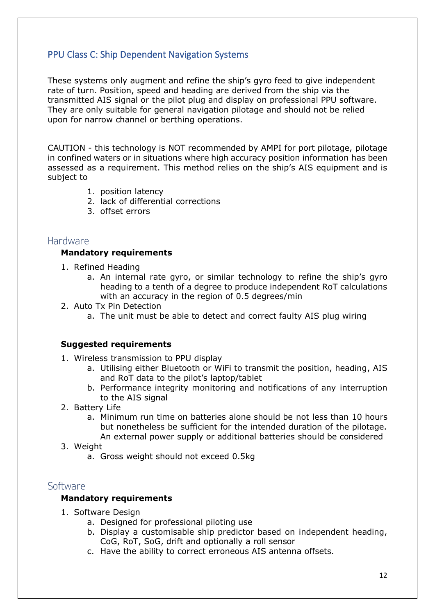## <span id="page-11-0"></span>PPU Class C: Ship Dependent Navigation Systems

These systems only augment and refine the ship's gyro feed to give independent rate of turn. Position, speed and heading are derived from the ship via the transmitted AIS signal or the pilot plug and display on professional PPU software. They are only suitable for general navigation pilotage and should not be relied upon for narrow channel or berthing operations.

CAUTION - this technology is NOT recommended by AMPI for port pilotage, pilotage in confined waters or in situations where high accuracy position information has been assessed as a requirement. This method relies on the ship's AIS equipment and is subject to

- 1. position latency
- 2. lack of differential corrections
- 3. offset errors

#### <span id="page-11-1"></span>Hardware

#### **Mandatory requirements**

- 1. Refined Heading
	- a. An internal rate gyro, or similar technology to refine the ship's gyro heading to a tenth of a degree to produce independent RoT calculations with an accuracy in the region of 0.5 degrees/min
- 2. Auto Tx Pin Detection
	- a. The unit must be able to detect and correct faulty AIS plug wiring

#### **Suggested requirements**

- 1. Wireless transmission to PPU display
	- a. Utilising either Bluetooth or WiFi to transmit the position, heading, AIS and RoT data to the pilot's laptop/tablet
	- b. Performance integrity monitoring and notifications of any interruption to the AIS signal
- 2. Battery Life
	- a. Minimum run time on batteries alone should be not less than 10 hours but nonetheless be sufficient for the intended duration of the pilotage. An external power supply or additional batteries should be considered
- 3. Weight
	- a. Gross weight should not exceed 0.5kg

### <span id="page-11-2"></span>Software

#### **Mandatory requirements**

- 1. Software Design
	- a. Designed for professional piloting use
	- b. Display a customisable ship predictor based on independent heading, CoG, RoT, SoG, drift and optionally a roll sensor
	- c. Have the ability to correct erroneous AIS antenna offsets.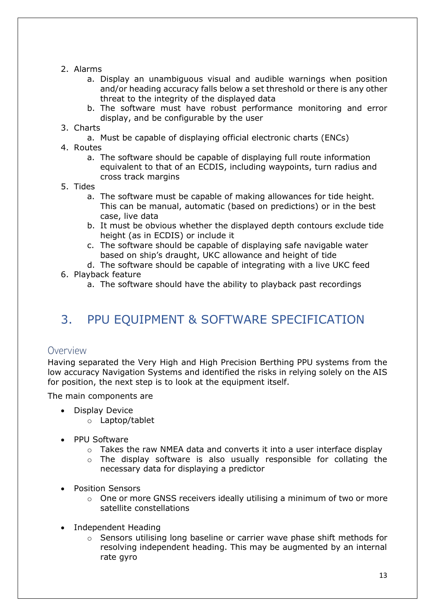- 2. Alarms
	- a. Display an unambiguous visual and audible warnings when position and/or heading accuracy falls below a set threshold or there is any other threat to the integrity of the displayed data
	- b. The software must have robust performance monitoring and error display, and be configurable by the user
- 3. Charts
	- a. Must be capable of displaying official electronic charts (ENCs)
- 4. Routes
	- a. The software should be capable of displaying full route information equivalent to that of an ECDIS, including waypoints, turn radius and cross track margins
- 5. Tides
	- a. The software must be capable of making allowances for tide height. This can be manual, automatic (based on predictions) or in the best case, live data
	- b. It must be obvious whether the displayed depth contours exclude tide height (as in ECDIS) or include it
	- c. The software should be capable of displaying safe navigable water based on ship's draught, UKC allowance and height of tide
- d. The software should be capable of integrating with a live UKC feed 6. Playback feature
	- a. The software should have the ability to playback past recordings

## <span id="page-12-0"></span>3. PPU EQUIPMENT & SOFTWARE SPECIFICATION

### <span id="page-12-1"></span>Overview

Having separated the Very High and High Precision Berthing PPU systems from the low accuracy Navigation Systems and identified the risks in relying solely on the AIS for position, the next step is to look at the equipment itself.

The main components are

- Display Device
	- o Laptop/tablet
- PPU Software
	- o Takes the raw NMEA data and converts it into a user interface display
	- o The display software is also usually responsible for collating the necessary data for displaying a predictor
- Position Sensors
	- $\circ$  One or more GNSS receivers ideally utilising a minimum of two or more satellite constellations
- Independent Heading
	- $\circ$  Sensors utilising long baseline or carrier wave phase shift methods for resolving independent heading. This may be augmented by an internal rate gyro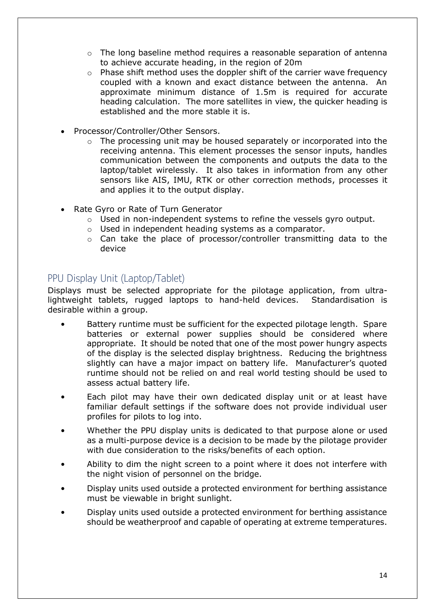- $\circ$  The long baseline method requires a reasonable separation of antenna to achieve accurate heading, in the region of 20m
- $\circ$  Phase shift method uses the doppler shift of the carrier wave frequency coupled with a known and exact distance between the antenna. An approximate minimum distance of 1.5m is required for accurate heading calculation. The more satellites in view, the quicker heading is established and the more stable it is.
- Processor/Controller/Other Sensors.
	- o The processing unit may be housed separately or incorporated into the receiving antenna. This element processes the sensor inputs, handles communication between the components and outputs the data to the laptop/tablet wirelessly. It also takes in information from any other sensors like AIS, IMU, RTK or other correction methods, processes it and applies it to the output display.
- Rate Gyro or Rate of Turn Generator
	- $\circ$  Used in non-independent systems to refine the vessels gyro output.
	- o Used in independent heading systems as a comparator.
	- o Can take the place of processor/controller transmitting data to the device

## <span id="page-13-0"></span>PPU Display Unit (Laptop/Tablet)

Displays must be selected appropriate for the pilotage application, from ultralightweight tablets, rugged laptops to hand-held devices. Standardisation is desirable within a group.

- Battery runtime must be sufficient for the expected pilotage length. Spare batteries or external power supplies should be considered where appropriate. It should be noted that one of the most power hungry aspects of the display is the selected display brightness. Reducing the brightness slightly can have a major impact on battery life. Manufacturer's quoted runtime should not be relied on and real world testing should be used to assess actual battery life.
- Each pilot may have their own dedicated display unit or at least have familiar default settings if the software does not provide individual user profiles for pilots to log into.
- Whether the PPU display units is dedicated to that purpose alone or used as a multi-purpose device is a decision to be made by the pilotage provider with due consideration to the risks/benefits of each option.
- Ability to dim the night screen to a point where it does not interfere with the night vision of personnel on the bridge.
- Display units used outside a protected environment for berthing assistance must be viewable in bright sunlight.
- Display units used outside a protected environment for berthing assistance should be weatherproof and capable of operating at extreme temperatures.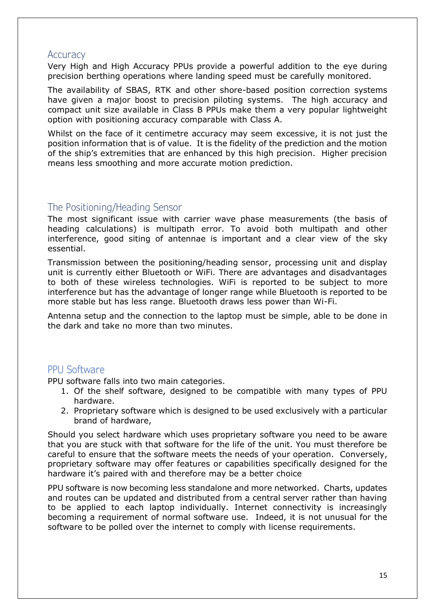### <span id="page-14-0"></span>**Accuracy**

Very High and High Accuracy PPUs provide a powerful addition to the eye during precision berthing operations where landing speed must be carefully monitored.

The availability of SBAS, RTK and other shore-based position correction systems have given a major boost to precision piloting systems. The high accuracy and compact unit size available in Class B PPUs make them a very popular lightweight option with positioning accuracy comparable with Class A.

Whilst on the face of it centimetre accuracy may seem excessive, it is not just the position information that is of value. It is the fidelity of the prediction and the motion of the ship's extremities that are enhanced by this high precision. Higher precision means less smoothing and more accurate motion prediction.

### <span id="page-14-1"></span>The Positioning/Heading Sensor

The most significant issue with carrier wave phase measurements (the basis of heading calculations) is multipath error. To avoid both multipath and other interference, good siting of antennae is important and a clear view of the sky essential.

Transmission between the positioning/heading sensor, processing unit and display unit is currently either Bluetooth or WiFi. There are advantages and disadvantages to both of these wireless technologies. WiFi is reported to be subject to more interference but has the advantage of longer range while Bluetooth is reported to be more stable but has less range. Bluetooth draws less power than Wi-Fi.

Antenna setup and the connection to the laptop must be simple, able to be done in the dark and take no more than two minutes.

## PPU Software

PPU software falls into two main categories.

- 1. Of the shelf software, designed to be compatible with many types of PPU hardware.
- 2. Proprietary software which is designed to be used exclusively with a particular brand of hardware,

Should you select hardware which uses proprietary software you need to be aware that you are stuck with that software for the life of the unit. You must therefore be careful to ensure that the software meets the needs of your operation. Conversely, proprietary software may offer features or capabilities specifically designed for the hardware it's paired with and therefore may be a better choice

PPU software is now becoming less standalone and more networked. Charts, updates and routes can be updated and distributed from a central server rather than having to be applied to each laptop individually. Internet connectivity is increasingly becoming a requirement of normal software use. Indeed, it is not unusual for the software to be polled over the internet to comply with license requirements.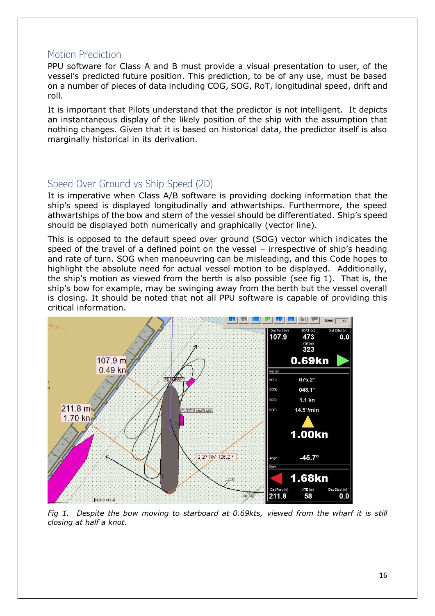### <span id="page-15-0"></span>Motion Prediction

PPU software for Class A and B must provide a visual presentation to user, of the vessel's predicted future position. This prediction, to be of any use, must be based on a number of pieces of data including COG, SOG, RoT, longitudinal speed, drift and roll.

It is important that Pilots understand that the predictor is not intelligent. It depicts an instantaneous display of the likely position of the ship with the assumption that nothing changes. Given that it is based on historical data, the predictor itself is also marginally historical in its derivation.

## <span id="page-15-1"></span>Speed Over Ground vs Ship Speed (2D)

It is imperative when Class A/B software is providing docking information that the ship's speed is displayed longitudinally and athwartships. Furthermore, the speed athwartships of the bow and stern of the vessel should be differentiated. Ship's speed should be displayed both numerically and graphically (vector line).

This is opposed to the default speed over ground (SOG) vector which indicates the speed of the travel of a defined point on the vessel – irrespective of ship's heading and rate of turn. SOG when manoeuvring can be misleading, and this Code hopes to highlight the absolute need for actual vessel motion to be displayed. Additionally, the ship's motion as viewed from the berth is also possible (see fig 1). That is, the ship's bow for example, may be swinging away from the berth but the vessel overall is closing. It should be noted that not all PPU software is capable of providing this critical information.



*Fig 1. Despite the bow moving to starboard at 0.69kts, viewed from the wharf it is still closing at half a knot.*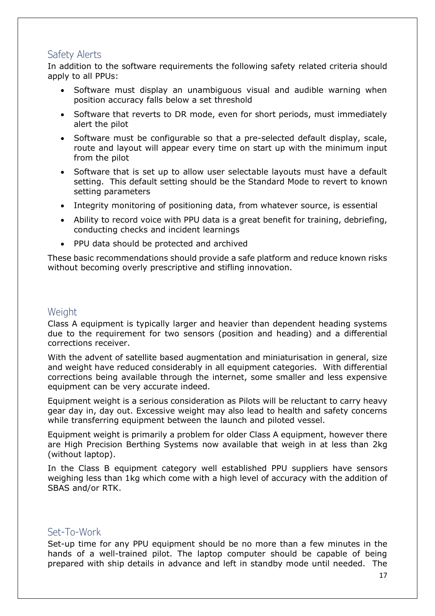## <span id="page-16-0"></span>Safety Alerts

In addition to the software requirements the following safety related criteria should apply to all PPUs:

- Software must display an unambiguous visual and audible warning when position accuracy falls below a set threshold
- Software that reverts to DR mode, even for short periods, must immediately alert the pilot
- Software must be configurable so that a pre-selected default display, scale, route and layout will appear every time on start up with the minimum input from the pilot
- Software that is set up to allow user selectable layouts must have a default setting. This default setting should be the Standard Mode to revert to known setting parameters
- Integrity monitoring of positioning data, from whatever source, is essential
- Ability to record voice with PPU data is a great benefit for training, debriefing, conducting checks and incident learnings
- PPU data should be protected and archived

These basic recommendations should provide a safe platform and reduce known risks without becoming overly prescriptive and stifling innovation.

## <span id="page-16-1"></span>**Weight**

Class A equipment is typically larger and heavier than dependent heading systems due to the requirement for two sensors (position and heading) and a differential corrections receiver.

With the advent of satellite based augmentation and miniaturisation in general, size and weight have reduced considerably in all equipment categories. With differential corrections being available through the internet, some smaller and less expensive equipment can be very accurate indeed.

Equipment weight is a serious consideration as Pilots will be reluctant to carry heavy gear day in, day out. Excessive weight may also lead to health and safety concerns while transferring equipment between the launch and piloted vessel.

Equipment weight is primarily a problem for older Class A equipment, however there are High Precision Berthing Systems now available that weigh in at less than 2kg (without laptop).

In the Class B equipment category well established PPU suppliers have sensors weighing less than 1kg which come with a high level of accuracy with the addition of SBAS and/or RTK.

## <span id="page-16-2"></span>Set-To-Work

Set-up time for any PPU equipment should be no more than a few minutes in the hands of a well-trained pilot. The laptop computer should be capable of being prepared with ship details in advance and left in standby mode until needed. The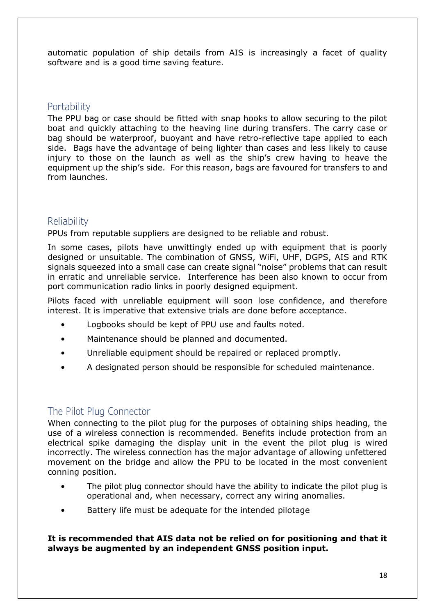automatic population of ship details from AIS is increasingly a facet of quality software and is a good time saving feature.

## <span id="page-17-0"></span>**Portability**

The PPU bag or case should be fitted with snap hooks to allow securing to the pilot boat and quickly attaching to the heaving line during transfers. The carry case or bag should be waterproof, buoyant and have retro-reflective tape applied to each side. Bags have the advantage of being lighter than cases and less likely to cause injury to those on the launch as well as the ship's crew having to heave the equipment up the ship's side. For this reason, bags are favoured for transfers to and from launches.

## <span id="page-17-1"></span>Reliability

PPUs from reputable suppliers are designed to be reliable and robust.

In some cases, pilots have unwittingly ended up with equipment that is poorly designed or unsuitable. The combination of GNSS, WiFi, UHF, DGPS, AIS and RTK signals squeezed into a small case can create signal "noise" problems that can result in erratic and unreliable service. Interference has been also known to occur from port communication radio links in poorly designed equipment.

Pilots faced with unreliable equipment will soon lose confidence, and therefore interest. It is imperative that extensive trials are done before acceptance.

- Logbooks should be kept of PPU use and faults noted.
- Maintenance should be planned and documented.
- Unreliable equipment should be repaired or replaced promptly.
- A designated person should be responsible for scheduled maintenance.

## <span id="page-17-2"></span>The Pilot Plug Connector

When connecting to the pilot plug for the purposes of obtaining ships heading, the use of a wireless connection is recommended. Benefits include protection from an electrical spike damaging the display unit in the event the pilot plug is wired incorrectly. The wireless connection has the major advantage of allowing unfettered movement on the bridge and allow the PPU to be located in the most convenient conning position.

- The pilot plug connector should have the ability to indicate the pilot plug is operational and, when necessary, correct any wiring anomalies.
- Battery life must be adequate for the intended pilotage

**It is recommended that AIS data not be relied on for positioning and that it always be augmented by an independent GNSS position input.**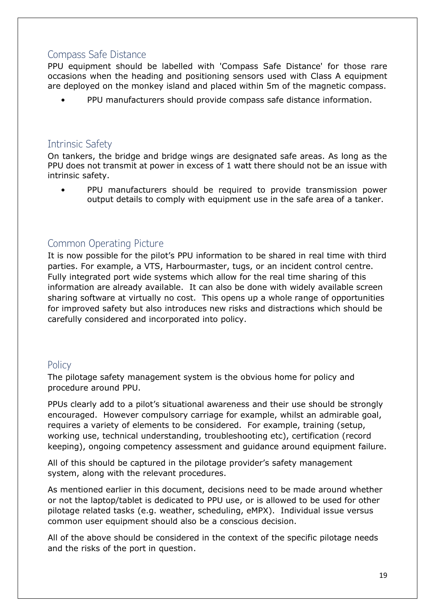## <span id="page-18-0"></span>Compass Safe Distance

PPU equipment should be labelled with 'Compass Safe Distance' for those rare occasions when the heading and positioning sensors used with Class A equipment are deployed on the monkey island and placed within 5m of the magnetic compass.

• PPU manufacturers should provide compass safe distance information.

## <span id="page-18-1"></span>Intrinsic Safety

On tankers, the bridge and bridge wings are designated safe areas. As long as the PPU does not transmit at power in excess of 1 watt there should not be an issue with intrinsic safety.

• PPU manufacturers should be required to provide transmission power output details to comply with equipment use in the safe area of a tanker.

## <span id="page-18-2"></span>Common Operating Picture

It is now possible for the pilot's PPU information to be shared in real time with third parties. For example, a VTS, Harbourmaster, tugs, or an incident control centre. Fully integrated port wide systems which allow for the real time sharing of this information are already available. It can also be done with widely available screen sharing software at virtually no cost. This opens up a whole range of opportunities for improved safety but also introduces new risks and distractions which should be carefully considered and incorporated into policy.

## <span id="page-18-3"></span>**Policy**

The pilotage safety management system is the obvious home for policy and procedure around PPU.

PPUs clearly add to a pilot's situational awareness and their use should be strongly encouraged. However compulsory carriage for example, whilst an admirable goal, requires a variety of elements to be considered. For example, training (setup, working use, technical understanding, troubleshooting etc), certification (record keeping), ongoing competency assessment and guidance around equipment failure.

All of this should be captured in the pilotage provider's safety management system, along with the relevant procedures.

As mentioned earlier in this document, decisions need to be made around whether or not the laptop/tablet is dedicated to PPU use, or is allowed to be used for other pilotage related tasks (e.g. weather, scheduling, eMPX). Individual issue versus common user equipment should also be a conscious decision.

All of the above should be considered in the context of the specific pilotage needs and the risks of the port in question.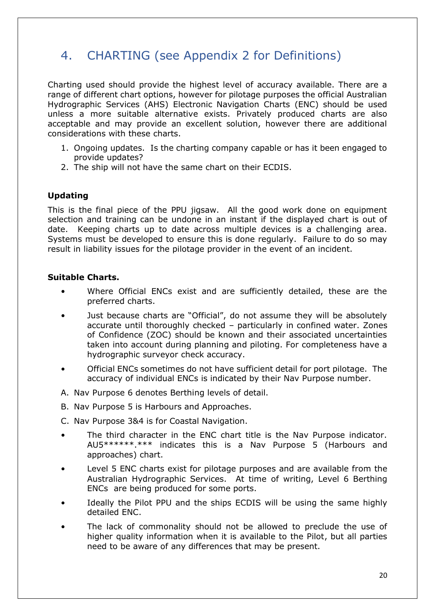## <span id="page-19-0"></span>4. CHARTING (see Appendix 2 for Definitions)

Charting used should provide the highest level of accuracy available. There are a range of different chart options, however for pilotage purposes the official Australian Hydrographic Services (AHS) Electronic Navigation Charts (ENC) should be used unless a more suitable alternative exists. Privately produced charts are also acceptable and may provide an excellent solution, however there are additional considerations with these charts.

- 1. Ongoing updates. Is the charting company capable or has it been engaged to provide updates?
- 2. The ship will not have the same chart on their ECDIS.

### **Updating**

This is the final piece of the PPU jigsaw. All the good work done on equipment selection and training can be undone in an instant if the displayed chart is out of date. Keeping charts up to date across multiple devices is a challenging area. Systems must be developed to ensure this is done regularly. Failure to do so may result in liability issues for the pilotage provider in the event of an incident.

#### **Suitable Charts.**

- Where Official ENCs exist and are sufficiently detailed, these are the preferred charts.
- Just because charts are "Official", do not assume they will be absolutely accurate until thoroughly checked – particularly in confined water. Zones of Confidence (ZOC) should be known and their associated uncertainties taken into account during planning and piloting. For completeness have a hydrographic surveyor check accuracy.
- Official ENCs sometimes do not have sufficient detail for port pilotage. The accuracy of individual ENCs is indicated by their Nav Purpose number.
- A. Nav Purpose 6 denotes Berthing levels of detail.
- B. Nav Purpose 5 is Harbours and Approaches.
- C. Nav Purpose 3&4 is for Coastal Navigation.
- The third character in the ENC chart title is the Nav Purpose indicator. AU5\*\*\*\*\*\*.\*\*\* indicates this is a Nav Purpose 5 (Harbours and approaches) chart.
- Level 5 ENC charts exist for pilotage purposes and are available from the Australian Hydrographic Services. At time of writing, Level 6 Berthing ENCs are being produced for some ports.
- Ideally the Pilot PPU and the ships ECDIS will be using the same highly detailed ENC.
- The lack of commonality should not be allowed to preclude the use of higher quality information when it is available to the Pilot, but all parties need to be aware of any differences that may be present.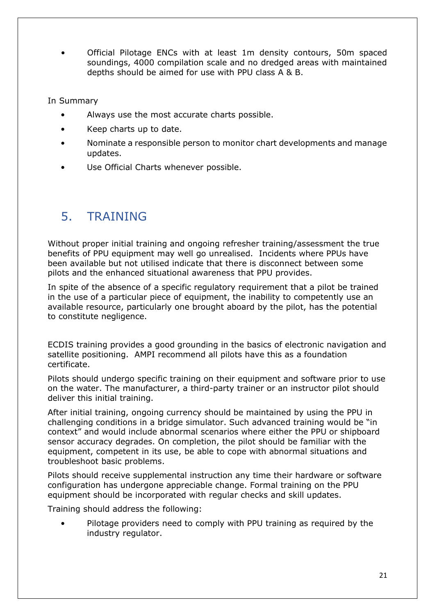• Official Pilotage ENCs with at least 1m density contours, 50m spaced soundings, 4000 compilation scale and no dredged areas with maintained depths should be aimed for use with PPU class A & B.

In Summary

- Always use the most accurate charts possible.
- Keep charts up to date.
- Nominate a responsible person to monitor chart developments and manage updates.
- Use Official Charts whenever possible.

## <span id="page-20-0"></span>5. TRAINING

Without proper initial training and ongoing refresher training/assessment the true benefits of PPU equipment may well go unrealised. Incidents where PPUs have been available but not utilised indicate that there is disconnect between some pilots and the enhanced situational awareness that PPU provides.

In spite of the absence of a specific regulatory requirement that a pilot be trained in the use of a particular piece of equipment, the inability to competently use an available resource, particularly one brought aboard by the pilot, has the potential to constitute negligence.

ECDIS training provides a good grounding in the basics of electronic navigation and satellite positioning. AMPI recommend all pilots have this as a foundation certificate.

Pilots should undergo specific training on their equipment and software prior to use on the water. The manufacturer, a third-party trainer or an instructor pilot should deliver this initial training.

After initial training, ongoing currency should be maintained by using the PPU in challenging conditions in a bridge simulator. Such advanced training would be "in context" and would include abnormal scenarios where either the PPU or shipboard sensor accuracy degrades. On completion, the pilot should be familiar with the equipment, competent in its use, be able to cope with abnormal situations and troubleshoot basic problems.

Pilots should receive supplemental instruction any time their hardware or software configuration has undergone appreciable change. Formal training on the PPU equipment should be incorporated with regular checks and skill updates.

Training should address the following:

• Pilotage providers need to comply with PPU training as required by the industry regulator.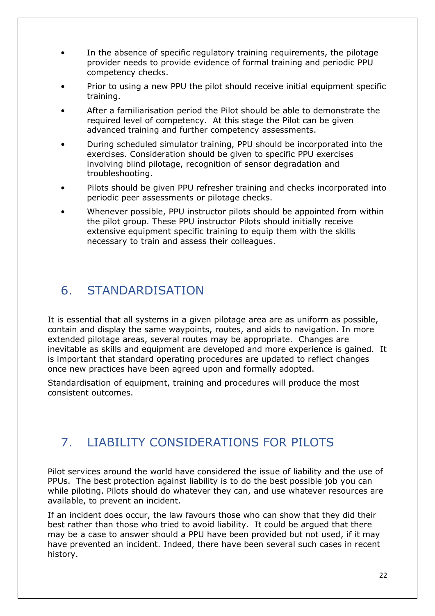- In the absence of specific regulatory training requirements, the pilotage provider needs to provide evidence of formal training and periodic PPU competency checks.
- Prior to using a new PPU the pilot should receive initial equipment specific training.
- After a familiarisation period the Pilot should be able to demonstrate the required level of competency. At this stage the Pilot can be given advanced training and further competency assessments.
- During scheduled simulator training, PPU should be incorporated into the exercises. Consideration should be given to specific PPU exercises involving blind pilotage, recognition of sensor degradation and troubleshooting.
- Pilots should be given PPU refresher training and checks incorporated into periodic peer assessments or pilotage checks.
- Whenever possible, PPU instructor pilots should be appointed from within the pilot group. These PPU instructor Pilots should initially receive extensive equipment specific training to equip them with the skills necessary to train and assess their colleagues.

## <span id="page-21-0"></span>6. STANDARDISATION

It is essential that all systems in a given pilotage area are as uniform as possible, contain and display the same waypoints, routes, and aids to navigation. In more extended pilotage areas, several routes may be appropriate. Changes are inevitable as skills and equipment are developed and more experience is gained. It is important that standard operating procedures are updated to reflect changes once new practices have been agreed upon and formally adopted.

Standardisation of equipment, training and procedures will produce the most consistent outcomes.

## <span id="page-21-1"></span>7. LIABILITY CONSIDERATIONS FOR PILOTS

Pilot services around the world have considered the issue of liability and the use of PPUs. The best protection against liability is to do the best possible job you can while piloting. Pilots should do whatever they can, and use whatever resources are available, to prevent an incident.

If an incident does occur, the law favours those who can show that they did their best rather than those who tried to avoid liability. It could be argued that there may be a case to answer should a PPU have been provided but not used, if it may have prevented an incident. Indeed, there have been several such cases in recent history.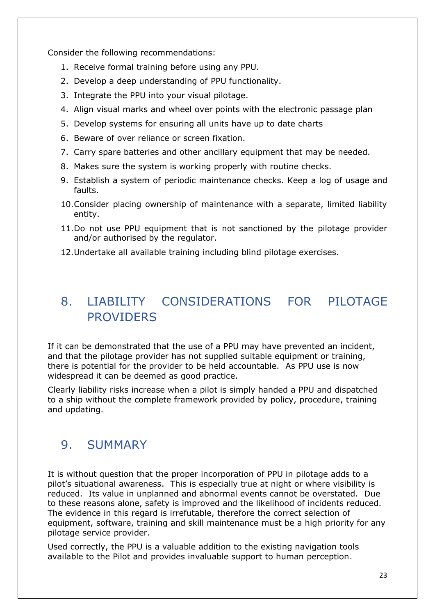Consider the following recommendations:

- 1. Receive formal training before using any PPU.
- 2. Develop a deep understanding of PPU functionality.
- 3. Integrate the PPU into your visual pilotage.
- 4. Align visual marks and wheel over points with the electronic passage plan
- 5. Develop systems for ensuring all units have up to date charts
- 6. Beware of over reliance or screen fixation.
- 7. Carry spare batteries and other ancillary equipment that may be needed.
- 8. Makes sure the system is working properly with routine checks.
- 9. Establish a system of periodic maintenance checks. Keep a log of usage and faults.
- 10.Consider placing ownership of maintenance with a separate, limited liability entity.
- 11.Do not use PPU equipment that is not sanctioned by the pilotage provider and/or authorised by the regulator.
- 12.Undertake all available training including blind pilotage exercises.

## <span id="page-22-0"></span>8. LIABILITY CONSIDERATIONS FOR PILOTAGE **PROVIDERS**

If it can be demonstrated that the use of a PPU may have prevented an incident, and that the pilotage provider has not supplied suitable equipment or training, there is potential for the provider to be held accountable. As PPU use is now widespread it can be deemed as good practice.

Clearly liability risks increase when a pilot is simply handed a PPU and dispatched to a ship without the complete framework provided by policy, procedure, training and updating.

## <span id="page-22-1"></span>9. SUMMARY

It is without question that the proper incorporation of PPU in pilotage adds to a pilot's situational awareness. This is especially true at night or where visibility is reduced. Its value in unplanned and abnormal events cannot be overstated. Due to these reasons alone, safety is improved and the likelihood of incidents reduced. The evidence in this regard is irrefutable, therefore the correct selection of equipment, software, training and skill maintenance must be a high priority for any pilotage service provider.

Used correctly, the PPU is a valuable addition to the existing navigation tools available to the Pilot and provides invaluable support to human perception.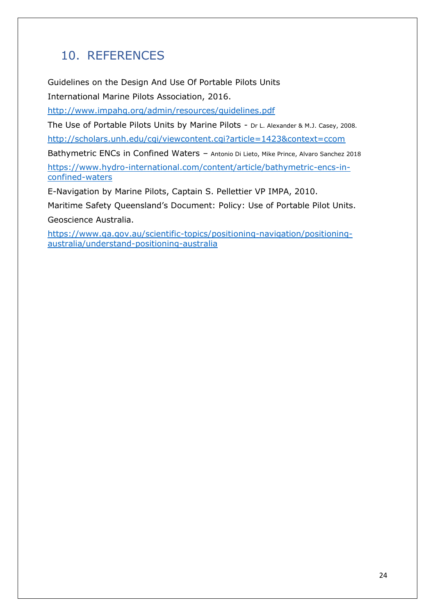## <span id="page-23-0"></span>10. REFERENCES

Guidelines on the Design And Use Of Portable Pilots Units International Marine Pilots Association, 2016.

<http://www.impahq.org/admin/resources/guidelines.pdf>

The Use of Portable Pilots Units by Marine Pilots - Dr L. Alexander & M.J. Casey, 2008.

<http://scholars.unh.edu/cgi/viewcontent.cgi?article=1423&context=ccom>

Bathymetric ENCs in Confined Waters - Antonio Di Lieto, Mike Prince, Alvaro Sanchez 2018 [https://www.hydro-international.com/content/article/bathymetric-encs-in](https://www.hydro-international.com/content/article/bathymetric-encs-in-confined-waters)[confined-waters](https://www.hydro-international.com/content/article/bathymetric-encs-in-confined-waters)

E-Navigation by Marine Pilots, Captain S. Pellettier VP IMPA, 2010.

Maritime Safety Queensland's Document: Policy: Use of Portable Pilot Units. Geoscience Australia.

[https://www.ga.gov.au/scientific-topics/positioning-navigation/positioning](https://www.ga.gov.au/scientific-topics/positioning-navigation/positioning-%20%20%20%20%20%20%20australia/understand-positioning-australia)[australia/understand-positioning-australia](https://www.ga.gov.au/scientific-topics/positioning-navigation/positioning-%20%20%20%20%20%20%20australia/understand-positioning-australia)